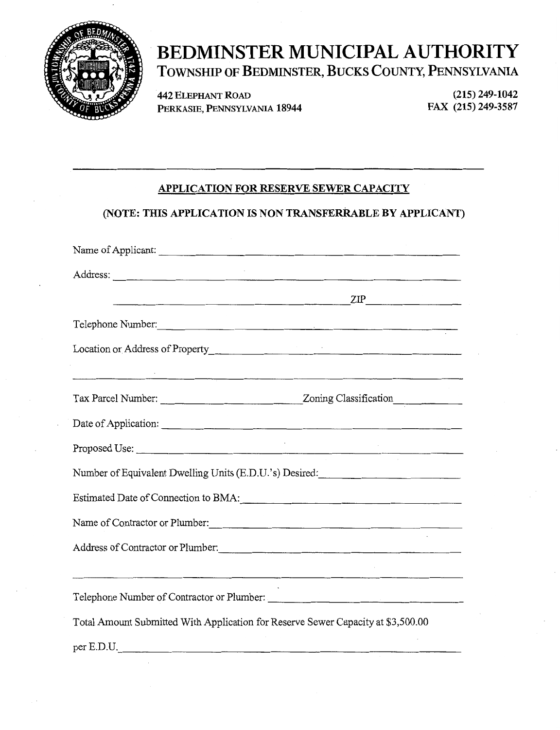

# **BEDMINSTER MUNICIPAL AUTHORITY**  TOWNSHIP OF BEDMINSTER, BUCKS COUNTY, PENNSYLVANIA

442 ELEPHANT ROAD PERKASIE, PENNSYLVANIA 18944

(215) 249-1042 FAX (215) 249-3587

## APPLICATION FOR RESERVE SEWER CAPACITY

## (NOTE: THIS APPLICATION IS NON TRANSFERRABLE BY APPLICANT)

| Name of Applicant:                                                               |                                                                                                                        |
|----------------------------------------------------------------------------------|------------------------------------------------------------------------------------------------------------------------|
| Address:                                                                         |                                                                                                                        |
|                                                                                  |                                                                                                                        |
| Telephone Number:                                                                |                                                                                                                        |
|                                                                                  |                                                                                                                        |
|                                                                                  |                                                                                                                        |
|                                                                                  |                                                                                                                        |
|                                                                                  |                                                                                                                        |
|                                                                                  |                                                                                                                        |
| Number of Equivalent Dwelling Units (E.D.U.'s) Desired:                          |                                                                                                                        |
|                                                                                  |                                                                                                                        |
| Name of Contractor or Plumber:                                                   |                                                                                                                        |
| Address of Contractor or Plumber: Manual Contractor or Plumber:                  |                                                                                                                        |
|                                                                                  | <u> 1980 - An Dùbhlachd ann an Dùbhlachd ann an Dùbhlachd ann an Dùbhlachd ann an Dùbhlachd ann an Dùbhlachd ann a</u> |
| Telephone Number of Contractor or Plumber:                                       |                                                                                                                        |
| Total Amount Submitted With Application for Reserve Sewer Capacity at \$3,500.00 |                                                                                                                        |
| per E.D.U.                                                                       |                                                                                                                        |